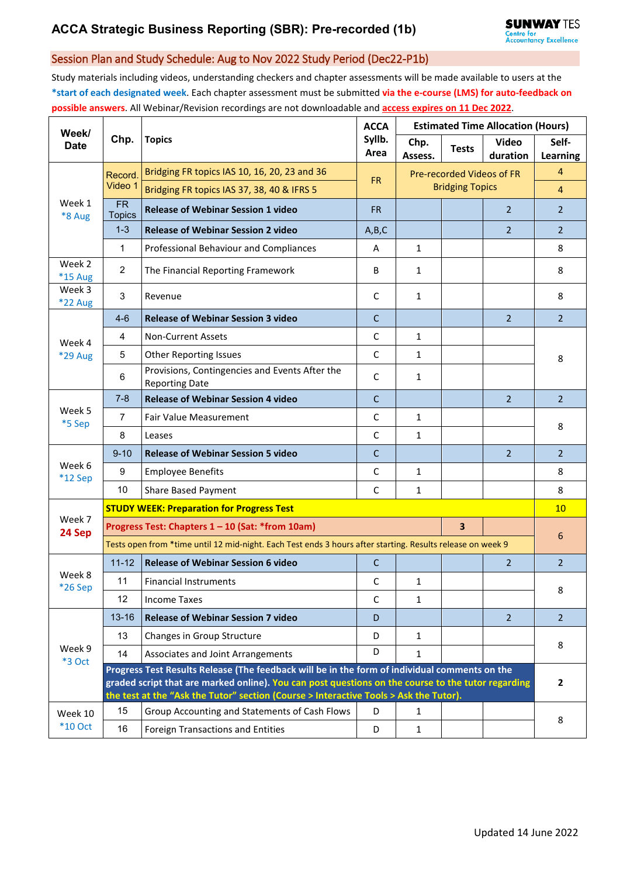## Session Plan and Study Schedule: Aug to Nov 2022 Study Period (Dec22-P1b)

Study materials including videos, understanding checkers and chapter assessments will be made available to users at the **\*start of each designated week**. Each chapter assessment must be submitted **via the e-course (LMS) for auto-feedback on possible answers**. All Webinar/Revision recordings are not downloadable and **access expires on 11 Dec 2022**.

| Week/<br><b>Date</b> | Chp.                                                                                                                                                                                                                                                                                         | <b>Topics</b>                                                           | <b>ACCA</b>    | <b>Estimated Time Allocation (Hours)</b> |                        |                          |                   |  |  |
|----------------------|----------------------------------------------------------------------------------------------------------------------------------------------------------------------------------------------------------------------------------------------------------------------------------------------|-------------------------------------------------------------------------|----------------|------------------------------------------|------------------------|--------------------------|-------------------|--|--|
|                      |                                                                                                                                                                                                                                                                                              |                                                                         | Syllb.<br>Area | Chp.<br>Assess.                          | <b>Tests</b>           | <b>Video</b><br>duration | Self-<br>Learning |  |  |
| Week 1<br>*8 Aug     | Record.<br>Video 1                                                                                                                                                                                                                                                                           | Bridging FR topics IAS 10, 16, 20, 23 and 36                            |                | Pre-recorded Videos of FR                |                        |                          | $\overline{4}$    |  |  |
|                      |                                                                                                                                                                                                                                                                                              | Bridging FR topics IAS 37, 38, 40 & IFRS 5                              | <b>FR</b>      |                                          | <b>Bridging Topics</b> |                          | $\overline{4}$    |  |  |
|                      | $\overline{\mathsf{FR}}$<br><b>Topics</b>                                                                                                                                                                                                                                                    | <b>Release of Webinar Session 1 video</b>                               | <b>FR</b>      |                                          |                        | $\overline{2}$           | $\overline{2}$    |  |  |
|                      | $1 - 3$                                                                                                                                                                                                                                                                                      | <b>Release of Webinar Session 2 video</b>                               | A,B,C          |                                          |                        | $\overline{2}$           | $\overline{2}$    |  |  |
|                      | $\mathbf{1}$                                                                                                                                                                                                                                                                                 | Professional Behaviour and Compliances                                  | A              | $\mathbf{1}$                             |                        |                          | 8                 |  |  |
| Week 2<br>*15 Aug    | $\overline{2}$                                                                                                                                                                                                                                                                               | The Financial Reporting Framework                                       | B              | $\mathbf{1}$                             |                        |                          | 8                 |  |  |
| Week 3<br>*22 Aug    | $\mathfrak{S}$                                                                                                                                                                                                                                                                               | Revenue                                                                 | С              | 1                                        |                        |                          | 8                 |  |  |
| Week 4               | $4 - 6$                                                                                                                                                                                                                                                                                      | <b>Release of Webinar Session 3 video</b>                               | $\mathsf{C}$   |                                          |                        | $\overline{2}$           | $\overline{2}$    |  |  |
|                      | $\overline{4}$                                                                                                                                                                                                                                                                               | <b>Non-Current Assets</b>                                               | C              | $\mathbf{1}$                             |                        |                          | 8                 |  |  |
| *29 Aug              | 5                                                                                                                                                                                                                                                                                            | <b>Other Reporting Issues</b>                                           | $\mathsf{C}$   | $\mathbf{1}$                             |                        |                          |                   |  |  |
|                      | 6                                                                                                                                                                                                                                                                                            | Provisions, Contingencies and Events After the<br><b>Reporting Date</b> | С              | $\mathbf{1}$                             |                        |                          |                   |  |  |
|                      | $7 - 8$                                                                                                                                                                                                                                                                                      | <b>Release of Webinar Session 4 video</b>                               | C              |                                          |                        | $\overline{2}$           | $\overline{2}$    |  |  |
| Week 5<br>*5 Sep     | $\overline{7}$                                                                                                                                                                                                                                                                               | <b>Fair Value Measurement</b>                                           | C              | $\mathbf{1}$                             |                        |                          | 8                 |  |  |
|                      | 8                                                                                                                                                                                                                                                                                            | Leases                                                                  | C              | $\mathbf{1}$                             |                        |                          |                   |  |  |
|                      | $9 - 10$                                                                                                                                                                                                                                                                                     | <b>Release of Webinar Session 5 video</b>                               | $\mathsf{C}$   |                                          |                        | $\overline{2}$           | $\overline{2}$    |  |  |
| Week 6<br>*12 Sep    | 9                                                                                                                                                                                                                                                                                            | <b>Employee Benefits</b>                                                | $\mathsf C$    | $\mathbf{1}$                             |                        |                          | 8                 |  |  |
|                      | 10                                                                                                                                                                                                                                                                                           | <b>Share Based Payment</b>                                              | C              | $\mathbf{1}$                             |                        |                          | 8                 |  |  |
| Week 7<br>24 Sep     | <b>STUDY WEEK: Preparation for Progress Test</b>                                                                                                                                                                                                                                             |                                                                         |                |                                          |                        |                          |                   |  |  |
|                      | 3<br>Progress Test: Chapters 1 - 10 (Sat: *from 10am)                                                                                                                                                                                                                                        |                                                                         |                |                                          |                        |                          |                   |  |  |
|                      | Tests open from *time until 12 mid-night. Each Test ends 3 hours after starting. Results release on week 9                                                                                                                                                                                   |                                                                         |                |                                          |                        |                          |                   |  |  |
| Week 8<br>*26 Sep    | $11 - 12$                                                                                                                                                                                                                                                                                    | <b>Release of Webinar Session 6 video</b>                               | $\mathsf{C}$   |                                          |                        | $\overline{2}$           | $\overline{2}$    |  |  |
|                      | 11                                                                                                                                                                                                                                                                                           | <b>Financial Instruments</b>                                            | C              | 1                                        |                        |                          | 8                 |  |  |
|                      | 12                                                                                                                                                                                                                                                                                           | <b>Income Taxes</b>                                                     | C              | $\mathbf{1}$                             |                        |                          |                   |  |  |
|                      | 13-16                                                                                                                                                                                                                                                                                        | <b>Release of Webinar Session 7 video</b>                               | D              |                                          |                        | $\overline{2}$           | $\overline{2}$    |  |  |
|                      | 13                                                                                                                                                                                                                                                                                           | Changes in Group Structure                                              | D              | 1                                        |                        |                          |                   |  |  |
| Week 9<br>*3 Oct     | 14                                                                                                                                                                                                                                                                                           | Associates and Joint Arrangements                                       | D              | $\mathbf{1}$                             |                        |                          | 8                 |  |  |
|                      | Progress Test Results Release (The feedback will be in the form of individual comments on the<br>graded script that are marked online). You can post questions on the course to the tutor regarding<br>the test at the "Ask the Tutor" section (Course > Interactive Tools > Ask the Tutor). |                                                                         |                |                                          |                        |                          |                   |  |  |
| Week 10<br>$*10$ Oct | 15                                                                                                                                                                                                                                                                                           | Group Accounting and Statements of Cash Flows                           | D              | 1                                        |                        |                          | 8                 |  |  |
|                      | 16                                                                                                                                                                                                                                                                                           | Foreign Transactions and Entities                                       | D              | $\mathbf{1}$                             |                        |                          |                   |  |  |